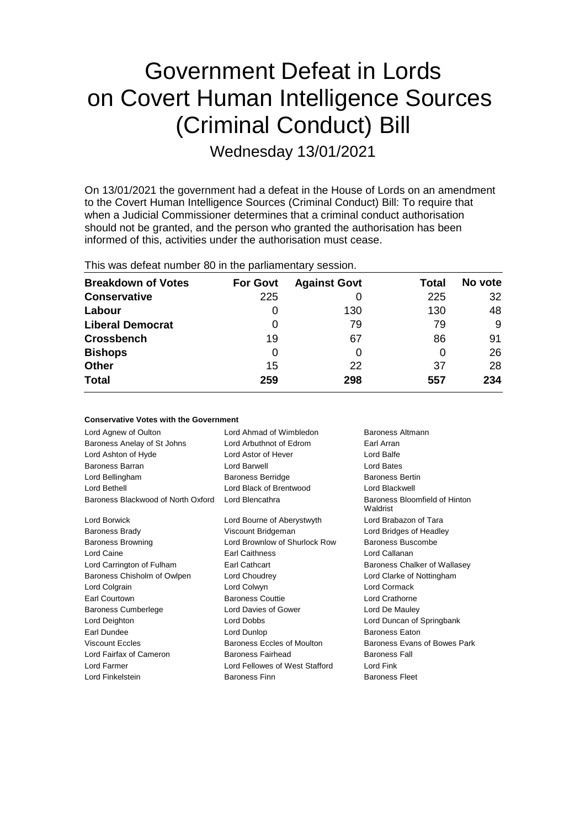# Government Defeat in Lords on Covert Human Intelligence Sources (Criminal Conduct) Bill

Wednesday 13/01/2021

On 13/01/2021 the government had a defeat in the House of Lords on an amendment to the Covert Human Intelligence Sources (Criminal Conduct) Bill: To require that when a Judicial Commissioner determines that a criminal conduct authorisation should not be granted, and the person who granted the authorisation has been informed of this, activities under the authorisation must cease.

| This was defeat number 80 in the parliamentary session. |                 |                     |       |         |  |
|---------------------------------------------------------|-----------------|---------------------|-------|---------|--|
| <b>Breakdown of Votes</b>                               | <b>For Govt</b> | <b>Against Govt</b> | Total | No vote |  |
| <b>Conservative</b>                                     | 225             |                     | 225   | 32      |  |
| Labour                                                  | $\Omega$        | 130                 | 130   | 48      |  |
| <b>Liberal Democrat</b>                                 | O               | 79                  | 79    | 9       |  |
| <b>Crossbench</b>                                       | 19              | 67                  | 86    | 91      |  |
| <b>Bishops</b>                                          | 0               |                     | 0     | 26      |  |
| <b>Other</b>                                            | 15              | 22                  | 37    | 28      |  |
| <b>Total</b>                                            | 259             | 298                 | 557   | 234     |  |

| <b>Conservative Votes with the Government</b> |                                             |                                           |
|-----------------------------------------------|---------------------------------------------|-------------------------------------------|
| Lord Agnew of Oulton                          | Lord Ahmad of Wimbledon<br>Baroness Altmann |                                           |
| Baroness Anelay of St Johns                   | Lord Arbuthnot of Edrom                     | Earl Arran                                |
| Lord Ashton of Hyde                           | Lord Astor of Hever                         | Lord Balfe                                |
| Baroness Barran                               | Lord Barwell                                | Lord Bates                                |
| Lord Bellingham                               | <b>Baroness Berridge</b>                    | <b>Baroness Bertin</b>                    |
| Lord Bethell                                  | Lord Black of Brentwood                     | Lord Blackwell                            |
| Baroness Blackwood of North Oxford            | Lord Blencathra                             | Baroness Bloomfield of Hinton<br>Waldrist |
| Lord Borwick                                  | Lord Bourne of Aberystwyth                  | Lord Brabazon of Tara                     |
| <b>Baroness Brady</b>                         | Viscount Bridgeman                          | Lord Bridges of Headley                   |
| <b>Baroness Browning</b>                      | Lord Brownlow of Shurlock Row               | Baroness Buscombe                         |
| Lord Caine                                    | <b>Earl Caithness</b>                       | Lord Callanan                             |
| Lord Carrington of Fulham                     | <b>Earl Cathcart</b>                        | Baroness Chalker of Wallasey              |
| Baroness Chisholm of Owlpen                   | Lord Choudrey                               | Lord Clarke of Nottingham                 |
| Lord Colgrain                                 | Lord Colwyn                                 | Lord Cormack                              |
| <b>Earl Courtown</b>                          | <b>Baroness Couttie</b>                     | Lord Crathorne                            |
| <b>Baroness Cumberlege</b>                    | Lord Davies of Gower                        | Lord De Mauley                            |
| Lord Deighton                                 | Lord Dobbs                                  | Lord Duncan of Springbank                 |
| Earl Dundee                                   | Lord Dunlop                                 | <b>Baroness Eaton</b>                     |
| <b>Viscount Eccles</b>                        | Baroness Eccles of Moulton                  | Baroness Evans of Bowes Park              |
| Lord Fairfax of Cameron                       | <b>Baroness Fairhead</b>                    | <b>Baroness Fall</b>                      |
| Lord Farmer                                   | Lord Fellowes of West Stafford              | Lord Fink                                 |
| Lord Finkelstein                              | <b>Baroness Finn</b>                        | <b>Baroness Fleet</b>                     |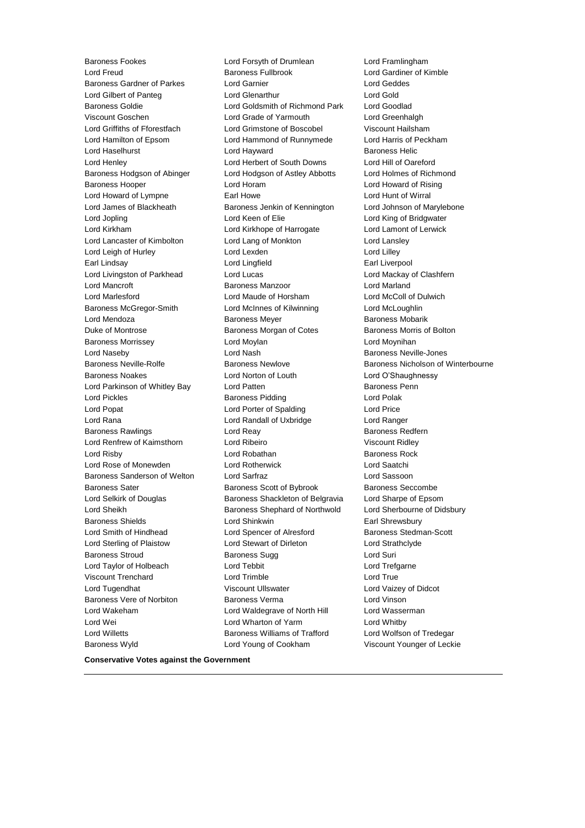Baroness Wyld Lord Young of Cookham Viscount Younger of Leckie

Baroness Fookes Lord Forsyth of Drumlean Lord Framlingham Lord Freud Baroness Fullbrook Lord Gardiner of Kimble Baroness Gardner of Parkes Lord Garnier Lord Geddes Lord Gilbert of Panteg **Lord Glenarthur** Lord Gold Baroness Goldie Lord Goldsmith of Richmond Park Lord Goodlad Viscount Goschen Lord Grade of Yarmouth Lord Greenhalgh Lord Griffiths of Fforestfach Lord Grimstone of Boscobel Viscount Hailsham Lord Hamilton of Epsom Lord Hammond of Runnymede Lord Harris of Peckham Lord Haselhurst **Lord Hayward** Baroness Helic Lord Henley Lord Herbert of South Downs Lord Hill of Oareford Baroness Hodgson of Abinger Lord Hodgson of Astley Abbotts Lord Holmes of Richmond Baroness Hooper Lord Horam Lord Howard of Rising Lord Howard of Lympne Earl Howe Lord Hunt of Wirral Lord James of Blackheath Baroness Jenkin of Kennington Lord Johnson of Marylebone Lord Jopling Lord Keen of Elie Lord King of Bridgwater Lord Kirkham Lord Kirkhope of Harrogate Lord Lamont of Lerwick Lord Lancaster of Kimbolton Lord Lang of Monkton Lord Lansley Lord Leigh of Hurley **Lord Lexden** Lord Lexden **Lord Lilley** Earl Lindsay Lord Lingfield Earl Liverpool Lord Livingston of Parkhead Lord Lucas Lord Lucas Lord Mackay of Clashfern Lord Mancroft Baroness Manzoor Lord Marland Lord Marlesford Lord Maude of Horsham Lord McColl of Dulwich Baroness McGregor-Smith Lord McInnes of Kilwinning Lord McLoughlin Lord Mendoza Baroness Meyer Baroness Mobarik Duke of Montrose Baroness Morgan of Cotes Baroness Morris of Bolton Baroness Morrissey Lord Moylan Lord Moynihan Lord Naseby **Lord Nash** Baroness Neville-Jones Baroness Neville-Rolfe **Baroness Newlove** Baroness Newlove **Baroness Nicholson of Winterbourne** Baroness Noakes Lord Norton of Louth Lord O'Shaughnessy Lord Parkinson of Whitley Bay **Lord Patten Communist Constructs** Baroness Penn Lord Pickles Baroness Pidding Lord Polak Lord Popat **Lord Porter of Spalding Lord Price** Lord Rana Lord Randall of Uxbridge Lord Ranger Baroness Rawlings **Baroness Redfern** Lord Reay **Baroness Redfern** Lord Renfrew of Kaimsthorn Lord Ribeiro Viscount Ridley Lord Risby **Lord Robathan** Baroness Rock **Lord Robathan** Baroness Rock Lord Rose of Monewden Lord Rotherwick Lord Saatchi Baroness Sanderson of Welton Lord Sarfraz Lord Sassoon Baroness Sater **Baroness Scott of Bybrook** Baroness Seccombe Lord Selkirk of Douglas Baroness Shackleton of Belgravia Lord Sharpe of Epsom Lord Sheikh **Baroness Shephard of Northwold** Lord Sherbourne of Didsbury Baroness Shields **Lord Shinkwin** Earl Shrewsbury Lord Smith of Hindhead Lord Spencer of Alresford Baroness Stedman-Scott Lord Sterling of Plaistow **Lord Stewart of Dirleton** Lord Strathclyde Baroness Stroud Baroness Sugg Lord Suri Lord Taylor of Holbeach Lord Tebbit Lord Trefgarne Viscount Trenchard Lord Trimble Lord True Lord Tugendhat Viscount Ullswater Lord Vaizey of Didcot Baroness Vere of Norbiton Baroness Verma Lord Vinson Lord Wakeham Lord Waldegrave of North Hill Lord Wasserman Lord Wei Lord Wharton of Yarm Lord Whitby Lord Willetts Baroness Williams of Trafford Lord Wolfson of Tredegar

**Conservative Votes against the Government**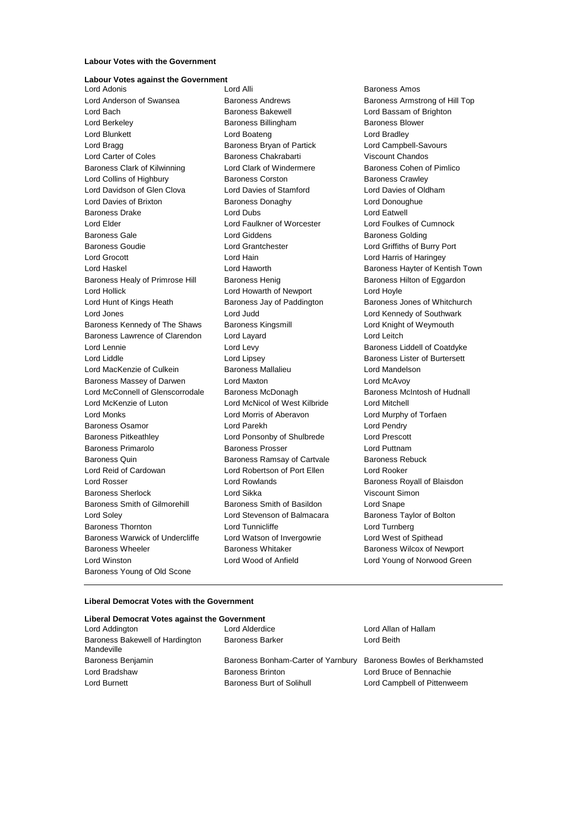#### **Labour Votes with the Government**

## **Labour Votes against the Government**<br>Lord Adonis

Lord Anderson of Swansea **Baroness Andrews** Baroness Andrews Baroness Armstrong of Hill Top Lord Bach **Baroness Bakewell Baroness Bakewell Lord Bassam of Brighton** Lord Berkeley **Baroness Billingham** Baroness Blower Lord Blunkett **Lord Boateng** Lord Boateng **Lord Bradley** Lord Bragg **Baroness Bryan of Partick** Lord Campbell-Savours Lord Carter of Coles Baroness Chakrabarti Viscount Chandos Baroness Clark of Kilwinning Lord Clark of Windermere Baroness Cohen of Pimlico Lord Collins of Highbury **Baroness Corston** Baroness Corston **Baroness Crawley** Lord Davidson of Glen Clova Lord Davies of Stamford Lord Davies of Oldham Lord Davies of Brixton **Baroness Donaghy Baroness Donaghy** Lord Donoughue Baroness Drake Lord Dubs Lord Eatwell Lord Elder Lord Faulkner of Worcester Lord Foulkes of Cumnock Baroness Gale **Communist Contract Contract Contract Contract Contract Contract Contract Contract Contract Contract Contract Contract Contract Contract Contract Contract Contract Contract Contract Contract Contract Contract** Baroness Goudie Lord Grantchester Lord Griffiths of Burry Port Lord Grocott Lord Hain Lord Harris of Haringey Lord Haskel **Lord Haworth Baroness Hayter of Kentish Town** Baroness Healy of Primrose Hill Baroness Henig Baroness Hilton of Eggardon Lord Hollick Lord Howarth of Newport Lord Hoyle Lord Hunt of Kings Heath **Baroness Jay of Paddington** Baroness Jones of Whitchurch Lord Jones Lord Judd Lord Kennedy of Southwark Baroness Kennedy of The Shaws Baroness Kingsmill **Baroness Lord Knight of Weymouth** Baroness Lawrence of Clarendon Lord Layard Lord Lord Lord Lord Leitch Lord Lennie **Lord Levy** Lord Levy **Baroness Liddell of Coatdyke** Lord Liddle Lord Lipsey Baroness Lister of Burtersett Lord MacKenzie of Culkein Baroness Mallalieu Lord Mandelson Baroness Massey of Darwen Lord Maxton Lord McAvoy Lord McConnell of Glenscorrodale Baroness McDonagh Baroness McIntosh of Hudnall Lord McKenzie of Luton Lord McNicol of West Kilbride Lord Mitchell Lord Monks Lord Morris of Aberavon Lord Murphy of Torfaen Baroness Osamor Lord Parekh Lord Pendry Baroness Pitkeathley Lord Ponsonby of Shulbrede Lord Prescott Baroness Primarolo Baroness Prosser Lord Puttnam Baroness Quin **Baroness Ramsay of Cartvale** Baroness Rebuck Lord Reid of Cardowan Lord Robertson of Port Ellen Lord Rooker Lord Rosser Lord Rowlands Baroness Royall of Blaisdon Baroness Sherlock Lord Sikka Viscount Simon Baroness Smith of Gilmorehill Baroness Smith of Basildon Lord Snape Lord Soley Lord Stevenson of Balmacara Baroness Taylor of Bolton Baroness Thornton **Lord Tunnicliffe** Lord Turnberg **Lord Turnberg** Baroness Warwick of Undercliffe Lord Watson of Invergowrie Lord West of Spithead Baroness Wheeler **Baroness Whitaker** Baroness Whitaker **Baroness Wilcox of Newport** Lord Winston Lord Wood of Anfield Lord Young of Norwood Green Baroness Young of Old Scone

Baroness Amos

#### **Liberal Democrat Votes with the Government**

| Liberal Democrat Votes against the Government |                                    |                                |  |  |  |
|-----------------------------------------------|------------------------------------|--------------------------------|--|--|--|
| Lord Addington                                | Lord Alderdice                     | Lord Allan of Hallam           |  |  |  |
| Baroness Bakewell of Hardington<br>Mandeville | <b>Baroness Barker</b>             | Lord Beith                     |  |  |  |
| Baroness Benjamin                             | Baroness Bonham-Carter of Yarnbury | Baroness Bowles of Berkhamsted |  |  |  |
| Lord Bradshaw                                 | <b>Baroness Brinton</b>            | Lord Bruce of Bennachie        |  |  |  |
| Lord Burnett                                  | Baroness Burt of Solihull          | Lord Campbell of Pittenweem    |  |  |  |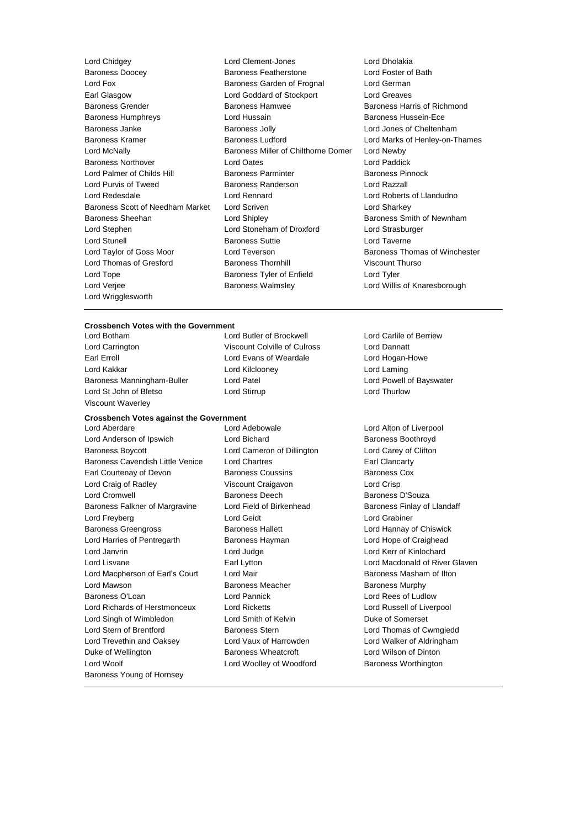Lord Chidgey Lord Clement-Jones Lord Dholakia Baroness Doocey **Baroness Featherstone** Lord Fox Baroness Garden of Frognal Lord German Earl Glasgow **Lord Goddard of Stockport** Lord Greaves Baroness Grender **Baroness Hamwee** Baroness Hamwee **Baroness Hammed Baroness Hammed Baroness** Hammed Baroness Hammed Baroness Hammed Baroness Hammed Baroness Hammed Baroness Hammed Baroness Hammed Baroness Hammed Baroness Baroness Humphreys Lord Hussain Baroness Hussein-Ece Baroness Janke Baroness Jolly Lord Jones of Cheltenham Baroness Kramer **Baroness Ludford** Lord Marks of Henley-on-Thames Lord McNally Baroness Miller of Chilthorne Domer Lord Newby Baroness Northover Lord Oates Lord Paddick Lord Palmer of Childs Hill **Baroness Parminter** Baroness Pinnock Lord Purvis of Tweed Baroness Randerson Lord Razzall Lord Redesdale Lord Rennard Lord Roberts of Llandudno Baroness Scott of Needham Market Lord Scriven Lord Charless Scott of Needham Market Lord Scriven Baroness Sheehan **Baroness** Sheehan Lord Shipley **Baroness Smith of Newnham** Lord Stephen Lord Stoneham of Droxford Lord Strasburger Lord Stunell Baroness Suttie Lord Taverne Lord Taylor of Goss Moor Lord Teverson Baroness Thomas of Winchester Lord Thomas of Gresford **Baroness Thornhill** Viscount Thurso Lord Tope **Baroness Tyler of Enfield** Lord Tyler Lord Verjee Baroness Walmsley Lord Willis of Knaresborough Lord Wrigglesworth

#### **Crossbench Votes with the Government**

Lord Carrington Viscount Colville of Culross Lord Dannatt Earl Erroll **Example 20** Example Lord Evans of Weardale **Lord Hogan-Howe** Lord Kakkar Lord Kilclooney Lord Laming Baroness Manningham-Buller Lord Patel Lord Powell of Bayswater Lord St John of Bletso **Lord Stirrup Lord Stirrup** Lord Churlow Viscount Waverley

# **Crossbench Votes against the Government**

Lord Anderson of Ipswich **Lord Bichard** Baroness Boothroyd Baroness Boycott Lord Cameron of Dillington Lord Carey of Clifton Baroness Cavendish Little Venice Lord Chartres **Earl Clancarty** Earl Clancarty Earl Courtenay of Devon Baroness Coussins Baroness Cox Lord Craig of Radley Viscount Craigavon Lord Crisp Lord Cromwell Baroness Deech Baroness D'Souza Baroness Falkner of Margravine Lord Field of Birkenhead Baroness Finlay of Llandaff Lord Freyberg Lord Geidt Lord Grabiner Baroness Greengross **Baroness Hallett** Lord Hannay of Chiswick Lord Harries of Pentregarth Baroness Hayman Lord Hope of Craighead Lord Janvrin Lord Judge Lord Kerr of Kinlochard Lord Lisvane **Earl Lytton** Earl Lytton Lord Macdonald of River Glaven Lord Macpherson of Earl's Court Lord Mair **Baroness Masham of Ilton Lord Mawson Communisties Communist Communist Baroness Meacher Communist Communist Communist Communist Communist Communist Communist Communist Communist Communist Communist Communist Communist Communist Communist Communist** Baroness O'Loan Lord Pannick Lord Rees of Ludlow Lord Richards of Herstmonceux Lord Ricketts Lord Russell of Liverpool Lord Singh of Wimbledon Lord Smith of Kelvin Duke of Somerset Lord Stern of Brentford Baroness Stern Lord Thomas of Cwmgiedd Lord Trevethin and Oaksey Lord Vaux of Harrowden Lord Walker of Aldringham Duke of Wellington **Baroness Wheatcroft** Lord Wilson of Dinton Lord Woolf **Lord Woolley of Woodford** Baroness Worthington Baroness Young of Hornsey

Lord Botham Lord Butler of Brockwell Lord Carlile of Berriew

Lord Aberdare Lord Adebowale Lord Alton of Liverpool